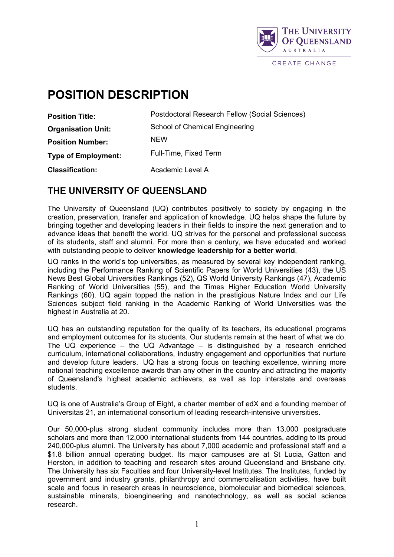

# **POSITION DESCRIPTION**

| <b>Position Title:</b>     | Postdoctoral Research Fellow (Social Sciences) |
|----------------------------|------------------------------------------------|
| <b>Organisation Unit:</b>  | School of Chemical Engineering                 |
| <b>Position Number:</b>    | <b>NEW</b>                                     |
| <b>Type of Employment:</b> | Full-Time, Fixed Term                          |
| <b>Classification:</b>     | Academic Level A                               |

### **THE UNIVERSITY OF QUEENSLAND**

The University of Queensland (UQ) contributes positively to society by engaging in the creation, preservation, transfer and application of knowledge. UQ helps shape the future by bringing together and developing leaders in their fields to inspire the next generation and to advance ideas that benefit the world. UQ strives for the personal and professional success of its students, staff and alumni. For more than a century, we have educated and worked with outstanding people to deliver **knowledge leadership for a better world**.

UQ ranks in the world's top universities, as measured by several key independent ranking, including the Performance Ranking of Scientific Papers for World Universities (43), the US News Best Global Universities Rankings (52), QS World University Rankings (47), Academic Ranking of World Universities (55), and the Times Higher Education World University Rankings (60). UQ again topped the nation in the prestigious Nature Index and our Life Sciences subject field ranking in the Academic Ranking of World Universities was the highest in Australia at 20.

UQ has an outstanding reputation for the quality of its teachers, its educational programs and employment outcomes for its students. Our students remain at the heart of what we do. The UQ experience – the UQ Advantage – is distinguished by a research enriched curriculum, international collaborations, industry engagement and opportunities that nurture and develop future leaders. UQ has a strong focus on [teaching excellence,](http://www.uq.edu.au/teaching-learning/index.html?page=49808) winning more national teaching excellence awards than any other in the country and attracting the majority of Queensland's highest academic achievers, as well as top interstate and overseas students.

UQ is one of Australia's Group of Eight, a charter member of edX and a founding member of Universitas 21, an international consortium of leading research-intensive universities.

Our 50,000-plus strong student community includes more than 13,000 postgraduate scholars and more than 12,000 international students from 144 countries, adding to its proud 240,000-plus alumni. The University has about 7,000 academic and professional staff and a \$1.8 billion annual operating budget. Its major campuses are at St Lucia, Gatton and Herston, in addition to teaching and research sites around Queensland and Brisbane city. The University has six Faculties and four University-level Institutes. The Institutes, funded by government and industry grants, philanthropy and commercialisation activities, have built scale and focus in research areas in neuroscience, biomolecular and biomedical sciences, sustainable minerals, bioengineering and nanotechnology, as well as social science research.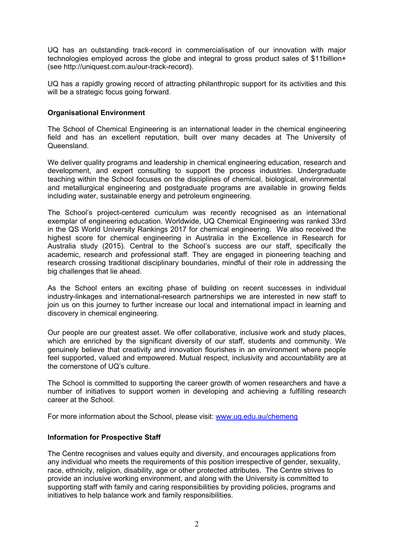UQ has an outstanding track-record in commercialisation of our innovation with major technologies employed across the globe and integral to gross product sales of \$11billion+ (see [http://uniquest.com.au/our-track-record\)](http://uniquest.com.au/our-track-record).

UQ has a rapidly growing record of attracting philanthropic support for its activities and this will be a strategic focus going forward.

#### **Organisational Environment**

The School of Chemical Engineering is an international leader in the chemical engineering field and has an excellent reputation, built over many decades at The University of **Queensland** 

We deliver quality programs and leadership in chemical engineering education, research and development, and expert consulting to support the process industries. Undergraduate teaching within the School focuses on the disciplines of chemical, biological, environmental and metallurgical engineering and postgraduate programs are available in growing fields including water, sustainable energy and petroleum engineering.

The School's project-centered curriculum was recently recognised as an international exemplar of engineering education. Worldwide, UQ Chemical Engineering was ranked 33rd in the QS World University Rankings 2017 for chemical engineering. We also received the highest score for chemical engineering in Australia in the Excellence in Research for Australia study (2015). Central to the School's success are our staff, specifically the academic, research and professional staff. They are engaged in pioneering teaching and research crossing traditional disciplinary boundaries, mindful of their role in addressing the big challenges that lie ahead.

As the School enters an exciting phase of building on recent successes in individual industry-linkages and international-research partnerships we are interested in new staff to join us on this journey to further increase our local and international impact in learning and discovery in chemical engineering.

Our people are our greatest asset. We offer collaborative, inclusive work and study places, which are enriched by the significant diversity of our staff, students and community. We genuinely believe that creativity and innovation flourishes in an environment where people feel supported, valued and empowered. Mutual respect, inclusivity and accountability are at the cornerstone of UQ's culture.

The School is committed to supporting the career growth of women researchers and have a number of initiatives to support women in developing and achieving a fulfilling research career at the School.

For more information about the School, please visit: [www.uq.edu.au/chemeng](http://www.uq.edu.au/chemeng)

#### **Information for Prospective Staff**

The Centre recognises and values equity and diversity, and encourages applications from any individual who meets the requirements of this position irrespective of gender, sexuality, race, ethnicity, religion, disability, age or other protected attributes. The Centre strives to provide an inclusive working environment, and along with the University is committed to supporting staff with family and caring responsibilities by providing policies, programs and initiatives to help balance work and family responsibilities.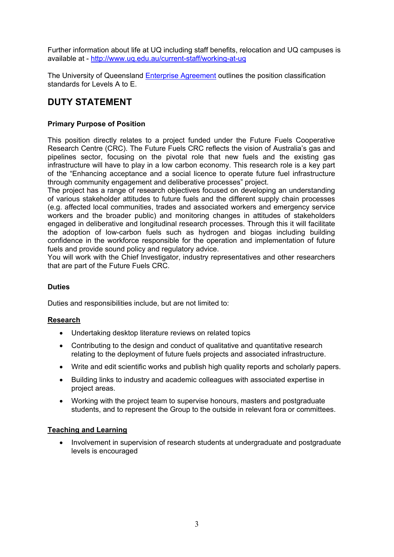Further information about life at UQ including staff benefits, relocation and UQ campuses is available at - <http://www.uq.edu.au/current-staff/working-at-uq>

The University of Queensland **Enterprise [Agreement](http://www.hr.uq.edu.au/eb)** outlines the position classification standards for Levels A to E.

# **DUTY STATEMENT**

#### **Primary Purpose of Position**

This position directly relates to a project funded under the Future Fuels Cooperative Research Centre (CRC). The Future Fuels CRC reflects the vision of Australia's gas and pipelines sector, focusing on the pivotal role that new fuels and the existing gas infrastructure will have to play in a low carbon economy. This research role is a key part of the "Enhancing acceptance and a social licence to operate future fuel infrastructure through community engagement and deliberative processes" project.

The project has a range of research objectives focused on developing an understanding of various stakeholder attitudes to future fuels and the different supply chain processes (e.g. affected local communities, trades and associated workers and emergency service workers and the broader public) and monitoring changes in attitudes of stakeholders engaged in deliberative and longitudinal research processes. Through this it will facilitate the adoption of low-carbon fuels such as hydrogen and biogas including building confidence in the workforce responsible for the operation and implementation of future fuels and provide sound policy and regulatory advice.

You will work with the Chief Investigator, industry representatives and other researchers that are part of the Future Fuels CRC.

#### **Duties**

Duties and responsibilities include, but are not limited to:

#### **Research**

- Undertaking desktop literature reviews on related topics
- Contributing to the design and conduct of qualitative and quantitative research relating to the deployment of future fuels projects and associated infrastructure.
- Write and edit scientific works and publish high quality reports and scholarly papers.
- Building links to industry and academic colleagues with associated expertise in project areas.
- Working with the project team to supervise honours, masters and postgraduate students, and to represent the Group to the outside in relevant fora or committees.

#### **Teaching and Learning**

• Involvement in supervision of research students at undergraduate and postgraduate levels is encouraged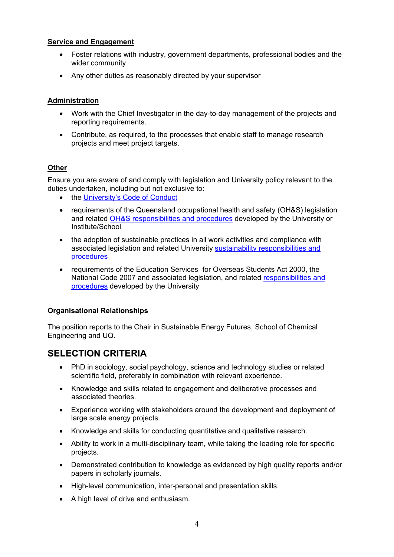#### **Service and Engagement**

- Foster relations with industry, government departments, professional bodies and the wider community
- Any other duties as reasonably directed by your supervisor

#### **Administration**

- Work with the Chief Investigator in the day-to-day management of the projects and reporting requirements.
- Contribute, as required, to the processes that enable staff to manage research projects and meet project targets.

#### **Other**

Ensure you are aware of and comply with legislation and University policy relevant to the duties undertaken, including but not exclusive to:

- the [University's Code of Conduct](http://ppl.app.uq.edu.au/content/1.50.01-code-conduct)
- requirements of the Queensland occupational health and safety (OH&S) legislation and related [OH&S responsibilities and procedures](http://www.uq.edu.au/ohs/index.html?page=133956) developed by the University or Institute/School
- the adoption of sustainable practices in all work activities and compliance with associated legislation and related University [sustainability responsibilities and](http://www.uq.edu.au/sustainability/responsibilities)  [procedures](http://www.uq.edu.au/sustainability/responsibilities)
- requirements of the Education Services for Overseas Students Act 2000, the National Code 2007 and associated legislation, and related [responsibilities and](http://ppl.app.uq.edu.au/content/3.30.13-esos-compliance-commitment)  [procedures](http://ppl.app.uq.edu.au/content/3.30.13-esos-compliance-commitment) developed by the University

#### **Organisational Relationships**

The position reports to the Chair in Sustainable Energy Futures, School of Chemical Engineering and UQ.

## **SELECTION CRITERIA**

- PhD in sociology, social psychology, science and technology studies or related scientific field, preferably in combination with relevant experience.
- Knowledge and skills related to engagement and deliberative processes and associated theories.
- Experience working with stakeholders around the development and deployment of large scale energy projects.
- Knowledge and skills for conducting quantitative and qualitative research.
- Ability to work in a multi-disciplinary team, while taking the leading role for specific projects.
- Demonstrated contribution to knowledge as evidenced by high quality reports and/or papers in scholarly journals.
- High-level communication, inter-personal and presentation skills.
- A high level of drive and enthusiasm.